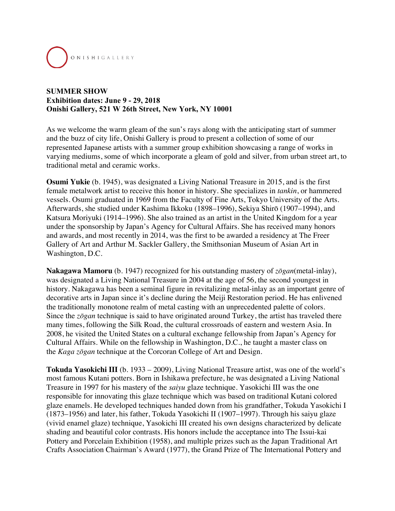

## **SUMMER SHOW Exhibition dates: June 9 - 29, 2018 Onishi Gallery, 521 W 26th Street, New York, NY 10001**

As we welcome the warm gleam of the sun's rays along with the anticipating start of summer and the buzz of city life, Onishi Gallery is proud to present a collection of some of our represented Japanese artists with a summer group exhibition showcasing a range of works in varying mediums, some of which incorporate a gleam of gold and silver, from urban street art, to traditional metal and ceramic works.

**Osumi Yukie** (b. 1945), was designated a Living National Treasure in 2015, and is the first female metalwork artist to receive this honor in history. She specializes in *tankin*, or hammered vessels. Osumi graduated in 1969 from the Faculty of Fine Arts, Tokyo University of the Arts. Afterwards, she studied under Kashima Ikkoku (1898–1996), Sekiya Shirō (1907–1994), and Katsura Moriyuki (1914–1996). She also trained as an artist in the United Kingdom for a year under the sponsorship by Japan's Agency for Cultural Affairs. She has received many honors and awards, and most recently in 2014, was the first to be awarded a residency at The Freer Gallery of Art and Arthur M. Sackler Gallery, the Smithsonian Museum of Asian Art in Washington, D.C.

**Nakagawa Mamoru** (b. 1947) recognized for his outstanding mastery of *zōgan*(metal-inlay), was designated a Living National Treasure in 2004 at the age of 56, the second youngest in history. Nakagawa has been a seminal figure in revitalizing metal-inlay as an important genre of decorative arts in Japan since it's decline during the Meiji Restoration period. He has enlivened the traditionally monotone realm of metal casting with an unprecedented palette of colors. Since the *zōgan* technique is said to have originated around Turkey, the artist has traveled there many times, following the Silk Road, the cultural crossroads of eastern and western Asia. In 2008, he visited the United States on a cultural exchange fellowship from Japan's Agency for Cultural Affairs. While on the fellowship in Washington, D.C., he taught a master class on the *Kaga zōgan* technique at the Corcoran College of Art and Design.

**Tokuda Yasokichi III** (b. 1933 – 2009), Living National Treasure artist, was one of the world's most famous Kutani potters. Born in Ishikawa prefecture, he was designated a Living National Treasure in 1997 for his mastery of the *saiyu* glaze technique. Yasokichi III was the one responsible for innovating this glaze technique which was based on traditional Kutani colored glaze enamels. He developed techniques handed down from his grandfather, Tokuda Yasokichi I (1873–1956) and later, his father, Tokuda Yasokichi II (1907–1997). Through his saiyu glaze (vivid enamel glaze) technique, Yasokichi III created his own designs characterized by delicate shading and beautiful color contrasts. His honors include the acceptance into The Issui-kai Pottery and Porcelain Exhibition (1958), and multiple prizes such as the Japan Traditional Art Crafts Association Chairman's Award (1977), the Grand Prize of The International Pottery and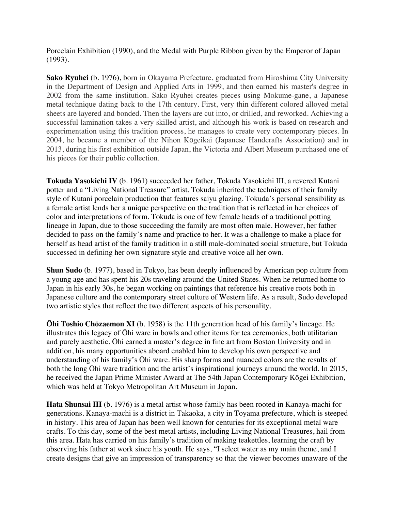Porcelain Exhibition (1990), and the Medal with Purple Ribbon given by the Emperor of Japan (1993).

**Sako Ryuhei** (b. 1976), born in Okayama Prefecture, graduated from Hiroshima City University in the Department of Design and Applied Arts in 1999, and then earned his master's degree in 2002 from the same institution. Sako Ryuhei creates pieces using Mokume-gane, a Japanese metal technique dating back to the 17th century. First, very thin different colored alloyed metal sheets are layered and bonded. Then the layers are cut into, or drilled, and reworked. Achieving a successful lamination takes a very skilled artist, and although his work is based on research and experimentation using this tradition process, he manages to create very contemporary pieces. In 2004, he became a member of the Nihon Kōgeikai (Japanese Handcrafts Association) and in 2013, during his first exhibition outside Japan, the Victoria and Albert Museum purchased one of his pieces for their public collection.

**Tokuda Yasokichi IV** (b. 1961) succeeded her father, Tokuda Yasokichi III, a revered Kutani potter and a "Living National Treasure" artist. Tokuda inherited the techniques of their family style of Kutani porcelain production that features saiyu glazing. Tokuda's personal sensibility as a female artist lends her a unique perspective on the tradition that is reflected in her choices of color and interpretations of form. Tokuda is one of few female heads of a traditional potting lineage in Japan, due to those succeeding the family are most often male. However, her father decided to pass on the family's name and practice to her. It was a challenge to make a place for herself as head artist of the family tradition in a still male-dominated social structure, but Tokuda successed in defining her own signature style and creative voice all her own.

**Shun Sudo** (b. 1977), based in Tokyo, has been deeply influenced by American pop culture from a young age and has spent his 20s traveling around the United States. When he returned home to Japan in his early 30s, he began working on paintings that reference his creative roots both in Japanese culture and the contemporary street culture of Western life. As a result, Sudo developed two artistic styles that reflect the two different aspects of his personality.

**Ōhi Toshio Chōzaemon XI** (b. 1958) is the 11th generation head of his family's lineage. He illustrates this legacy of Ōhi ware in bowls and other items for tea ceremonies, both utilitarian and purely aesthetic. Ōhi earned a master's degree in fine art from Boston University and in addition, his many opportunities aboard enabled him to develop his own perspective and understanding of his family's Ōhi ware. His sharp forms and nuanced colors are the results of both the long Ōhi ware tradition and the artist's inspirational journeys around the world. In 2015, he received the Japan Prime Minister Award at The 54th Japan Contemporary Kōgei Exhibition, which was held at Tokyo Metropolitan Art Museum in Japan.

**Hata Shunsai III** (b. 1976) is a metal artist whose family has been rooted in Kanaya-machi for generations. Kanaya-machi is a district in Takaoka, a city in Toyama prefecture, which is steeped in history. This area of Japan has been well known for centuries for its exceptional metal ware crafts. To this day, some of the best metal artists, including Living National Treasures, hail from this area. Hata has carried on his family's tradition of making teakettles, learning the craft by observing his father at work since his youth. He says, "I select water as my main theme, and I create designs that give an impression of transparency so that the viewer becomes unaware of the